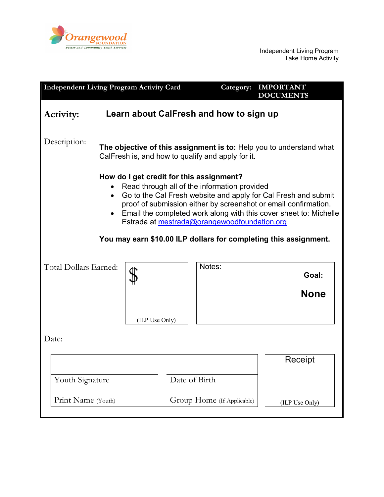

| <b>Independent Living Program Activity Card</b>                                                                                                                                                                                                                                                                                                                                                                                                  |                |                            | Category: | <b>IMPORTANT</b><br><b>DOCUMENTS</b> |                |  |
|--------------------------------------------------------------------------------------------------------------------------------------------------------------------------------------------------------------------------------------------------------------------------------------------------------------------------------------------------------------------------------------------------------------------------------------------------|----------------|----------------------------|-----------|--------------------------------------|----------------|--|
| Learn about CalFresh and how to sign up<br>Activity:                                                                                                                                                                                                                                                                                                                                                                                             |                |                            |           |                                      |                |  |
| Description:<br>The objective of this assignment is to: Help you to understand what<br>CalFresh is, and how to qualify and apply for it.                                                                                                                                                                                                                                                                                                         |                |                            |           |                                      |                |  |
| How do I get credit for this assignment?<br>Read through all of the information provided<br>Go to the Cal Fresh website and apply for Cal Fresh and submit<br>$\bullet$<br>proof of submission either by screenshot or email confirmation.<br>Email the completed work along with this cover sheet to: Michelle<br>$\bullet$<br>Estrada at mestrada@orangewoodfoundation.org<br>You may earn \$10.00 ILP dollars for completing this assignment. |                |                            |           |                                      |                |  |
| Total Dollars Earned:                                                                                                                                                                                                                                                                                                                                                                                                                            |                |                            | Notes:    |                                      | Goal:          |  |
|                                                                                                                                                                                                                                                                                                                                                                                                                                                  | (ILP Use Only) |                            |           |                                      | <b>None</b>    |  |
| Date:                                                                                                                                                                                                                                                                                                                                                                                                                                            |                |                            |           |                                      |                |  |
|                                                                                                                                                                                                                                                                                                                                                                                                                                                  |                |                            | Receipt   |                                      |                |  |
| Youth Signature                                                                                                                                                                                                                                                                                                                                                                                                                                  |                | Date of Birth              |           |                                      |                |  |
| Print Name (Youth)                                                                                                                                                                                                                                                                                                                                                                                                                               |                | Group Home (If Applicable) |           |                                      | (ILP Use Only) |  |